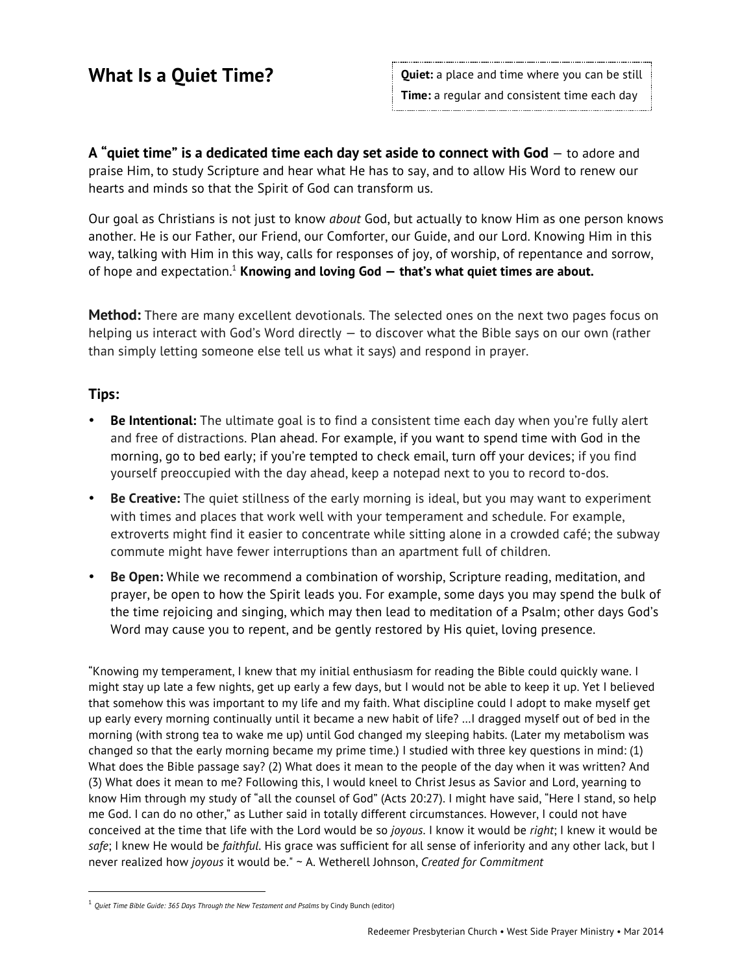**A "quiet time" is a dedicated time each day set aside to connect with God** — to adore and praise Him, to study Scripture and hear what He has to say, and to allow His Word to renew our hearts and minds so that the Spirit of God can transform us.

Our goal as Christians is not just to know *about* God, but actually to know Him as one person knows another. He is our Father, our Friend, our Comforter, our Guide, and our Lord. Knowing Him in this way, talking with Him in this way, calls for responses of joy, of worship, of repentance and sorrow, of hope and expectation.1 **Knowing and loving God — that's what quiet times are about.**

**Method:** There are many excellent devotionals. The selected ones on the next two pages focus on helping us interact with God's Word directly — to discover what the Bible says on our own (rather than simply letting someone else tell us what it says) and respond in prayer.

### **Tips:**

 $\overline{a}$ 

- **Be Intentional:** The ultimate goal is to find a consistent time each day when you're fully alert and free of distractions. Plan ahead. For example, if you want to spend time with God in the morning, go to bed early; if you're tempted to check email, turn off your devices; if you find yourself preoccupied with the day ahead, keep a notepad next to you to record to-dos.
- **Be Creative:** The quiet stillness of the early morning is ideal, but you may want to experiment with times and places that work well with your temperament and schedule. For example, extroverts might find it easier to concentrate while sitting alone in a crowded café; the subway commute might have fewer interruptions than an apartment full of children.
- **Be Open:** While we recommend a combination of worship, Scripture reading, meditation, and prayer, be open to how the Spirit leads you. For example, some days you may spend the bulk of the time rejoicing and singing, which may then lead to meditation of a Psalm; other days God's Word may cause you to repent, and be gently restored by His quiet, loving presence.

"Knowing my temperament, I knew that my initial enthusiasm for reading the Bible could quickly wane. I might stay up late a few nights, get up early a few days, but I would not be able to keep it up. Yet I believed that somehow this was important to my life and my faith. What discipline could I adopt to make myself get up early every morning continually until it became a new habit of life? …I dragged myself out of bed in the morning (with strong tea to wake me up) until God changed my sleeping habits. (Later my metabolism was changed so that the early morning became my prime time.) I studied with three key questions in mind: (1) What does the Bible passage say? (2) What does it mean to the people of the day when it was written? And (3) What does it mean to me? Following this, I would kneel to Christ Jesus as Savior and Lord, yearning to know Him through my study of "all the counsel of God" (Acts 20:27). I might have said, "Here I stand, so help me God. I can do no other," as Luther said in totally different circumstances. However, I could not have conceived at the time that life with the Lord would be so *joyous*. I know it would be *right*; I knew it would be *safe*; I knew He would be *faithful*. His grace was sufficient for all sense of inferiority and any other lack, but I never realized how *joyous* it would be." ~ A. Wetherell Johnson, *Created for Commitment*

<sup>1</sup> *Quiet Time Bible Guide: 365 Days Through the New Testament and Psalms* by Cindy Bunch (editor)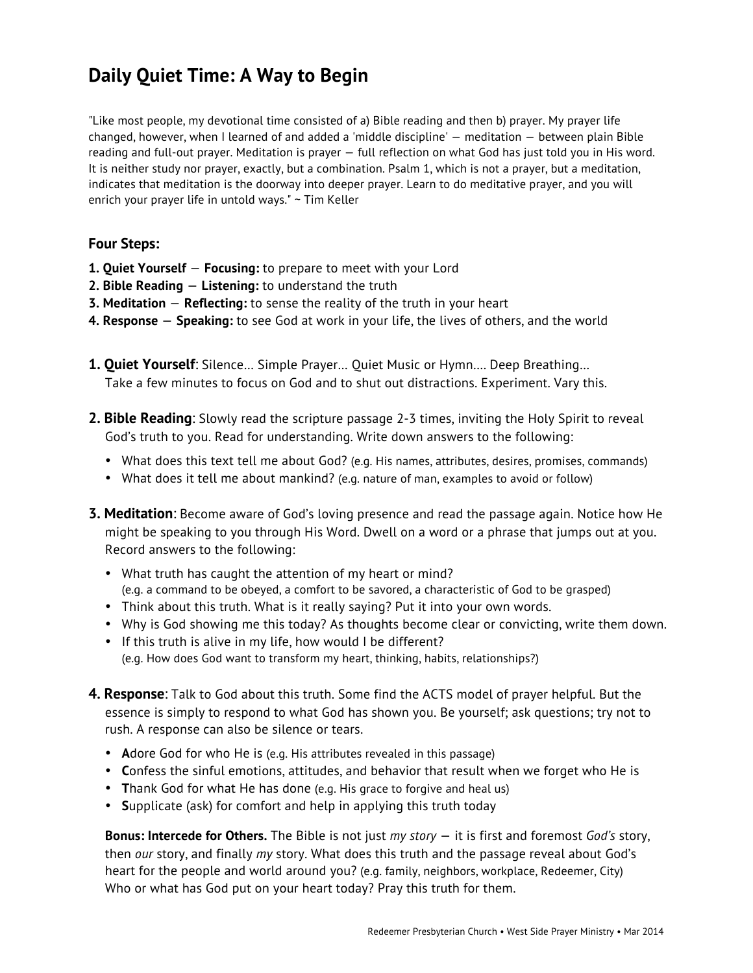# **Daily Quiet Time: A Way to Begin**

"Like most people, my devotional time consisted of a) Bible reading and then b) prayer. My prayer life changed, however, when I learned of and added a 'middle discipline' — meditation — between plain Bible reading and full-out prayer. Meditation is prayer — full reflection on what God has just told you in His word. It is neither study nor prayer, exactly, but a combination. Psalm 1, which is not a prayer, but a meditation, indicates that meditation is the doorway into deeper prayer. Learn to do meditative prayer, and you will enrich your prayer life in untold ways." ~ Tim Keller

#### **Four Steps:**

- **1. Quiet Yourself Focusing:** to prepare to meet with your Lord
- **2. Bible Reading Listening:** to understand the truth
- **3. Meditation Reflecting:** to sense the reality of the truth in your heart
- **4. Response Speaking:** to see God at work in your life, the lives of others, and the world
- **1. Quiet Yourself**: Silence… Simple Prayer… Quiet Music or Hymn…. Deep Breathing… Take a few minutes to focus on God and to shut out distractions. Experiment. Vary this.
- **2. Bible Reading**: Slowly read the scripture passage 2-3 times, inviting the Holy Spirit to reveal God's truth to you. Read for understanding. Write down answers to the following:
	- What does this text tell me about God? (e.g. His names, attributes, desires, promises, commands)
	- What does it tell me about mankind? (e.g. nature of man, examples to avoid or follow)
- **3. Meditation**: Become aware of God's loving presence and read the passage again. Notice how He might be speaking to you through His Word. Dwell on a word or a phrase that jumps out at you. Record answers to the following:
	- What truth has caught the attention of my heart or mind? (e.g. a command to be obeyed, a comfort to be savored, a characteristic of God to be grasped)
	- Think about this truth. What is it really saying? Put it into your own words.
	- Why is God showing me this today? As thoughts become clear or convicting, write them down.
	- If this truth is alive in my life, how would I be different? (e.g. How does God want to transform my heart, thinking, habits, relationships?)
- **4. Response**: Talk to God about this truth. Some find the ACTS model of prayer helpful. But the essence is simply to respond to what God has shown you. Be yourself; ask questions; try not to rush. A response can also be silence or tears.
	- **Adore God for who He is (e.g. His attributes revealed in this passage)**
	- **C**onfess the sinful emotions, attitudes, and behavior that result when we forget who He is
	- **T**hank God for what He has done (e.g. His grace to forgive and heal us)
	- **S**upplicate (ask) for comfort and help in applying this truth today

**Bonus: Intercede for Others.** The Bible is not just *my story* — it is first and foremost *God's* story, then *our* story, and finally *my* story. What does this truth and the passage reveal about God's heart for the people and world around you? (e.g. family, neighbors, workplace, Redeemer, City) Who or what has God put on your heart today? Pray this truth for them.